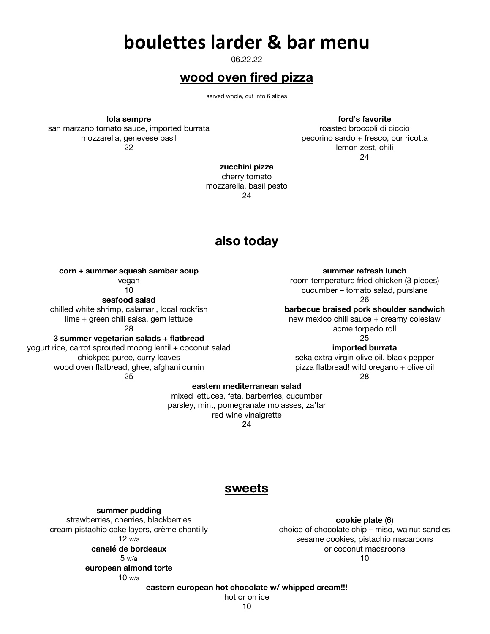## **boulettes larder & bar menu**

06.22.22

## **wood oven fired pizza**

served whole, cut into 6 slices

**lola sempre**

san marzano tomato sauce, imported burrata mozzarella, genevese basil 22

**ford's favorite**

roasted broccoli di ciccio pecorino sardo + fresco, our ricotta lemon zest, chili 24

**zucchini pizza** cherry tomato

mozzarella, basil pesto 24

### **also today**

**corn + summer squash sambar soup** 

vegan 10

**seafood salad**

chilled white shrimp, calamari, local rockfish

lime + green chili salsa, gem lettuce 28

**3 summer vegetarian salads + flatbread**

yogurt rice, carrot sprouted moong lentil + coconut salad chickpea puree, curry leaves wood oven flatbread, ghee, afghani cumin 25

**summer refresh lunch**

room temperature fried chicken (3 pieces) cucumber – tomato salad, purslane 26

**barbecue braised pork shoulder sandwich**

new mexico chili sauce + creamy coleslaw acme torpedo roll 25

**imported burrata** seka extra virgin olive oil, black pepper pizza flatbread! wild oregano + olive oil

28

#### **eastern mediterranean salad**

mixed lettuces, feta, barberries, cucumber parsley, mint, pomegranate molasses, za'tar red wine vinaigrette 24

### **sweets**

**summer pudding** strawberries, cherries, blackberries cream pistachio cake layers, crème chantilly 12 w/a **canelé de bordeaux** 

5 w/a

**european almond torte** 10 w/a

**cookie plate** (6) choice of chocolate chip – miso, walnut sandies sesame cookies, pistachio macaroons or coconut macaroons 10

**eastern european hot chocolate w/ whipped cream!!!**

hot or on ice